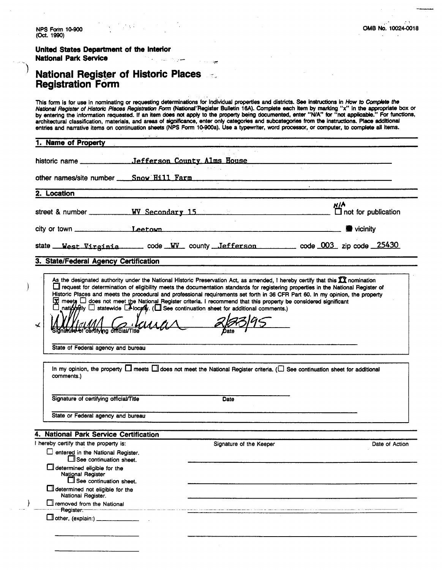| NPS Form 10-900                                                                                                                                                                                                                                                                                                                                                                                                                                                                                                                                                                                                                                                                                                                                                        |                          |                         |     | OMB No. 10024-0018 |
|------------------------------------------------------------------------------------------------------------------------------------------------------------------------------------------------------------------------------------------------------------------------------------------------------------------------------------------------------------------------------------------------------------------------------------------------------------------------------------------------------------------------------------------------------------------------------------------------------------------------------------------------------------------------------------------------------------------------------------------------------------------------|--------------------------|-------------------------|-----|--------------------|
| (Oct. 1990)                                                                                                                                                                                                                                                                                                                                                                                                                                                                                                                                                                                                                                                                                                                                                            |                          |                         |     |                    |
| United States Department of the Interior                                                                                                                                                                                                                                                                                                                                                                                                                                                                                                                                                                                                                                                                                                                               |                          |                         |     |                    |
| <b>National Park Service</b>                                                                                                                                                                                                                                                                                                                                                                                                                                                                                                                                                                                                                                                                                                                                           | جهدان والمستورة المدارية |                         |     |                    |
| <b>National Register of Historic Places</b><br><b>Registration Form</b>                                                                                                                                                                                                                                                                                                                                                                                                                                                                                                                                                                                                                                                                                                |                          |                         |     |                    |
| This form is for use in nominating or requesting determinations for individual properties and districts. See instructions in How to Complete the<br>National Register of Historic Places Registration Form (National Register Bulletin 16A). Complete each item by marking "x" in the appropriate box or<br>by entering the information requested. If an item does not apply to the property being documented, enter "N/A" for "not applicable." For functions,<br>architectural classification, materials, and areas of significance, enter only categories and subcategories from the instructions. Place additional<br>entries and narrative items on continuation sheets (NPS Form 10-900a). Use a typewriter, word processor, or computer, to complete all items. |                          |                         |     |                    |
| 1. Name of Property                                                                                                                                                                                                                                                                                                                                                                                                                                                                                                                                                                                                                                                                                                                                                    |                          |                         |     |                    |
|                                                                                                                                                                                                                                                                                                                                                                                                                                                                                                                                                                                                                                                                                                                                                                        |                          |                         |     |                    |
|                                                                                                                                                                                                                                                                                                                                                                                                                                                                                                                                                                                                                                                                                                                                                                        |                          |                         |     |                    |
| other names/site number ___ Snow Hill Farm                                                                                                                                                                                                                                                                                                                                                                                                                                                                                                                                                                                                                                                                                                                             |                          |                         |     |                    |
| 2. Location                                                                                                                                                                                                                                                                                                                                                                                                                                                                                                                                                                                                                                                                                                                                                            |                          |                         |     |                    |
|                                                                                                                                                                                                                                                                                                                                                                                                                                                                                                                                                                                                                                                                                                                                                                        |                          |                         | N/A |                    |
|                                                                                                                                                                                                                                                                                                                                                                                                                                                                                                                                                                                                                                                                                                                                                                        |                          |                         |     |                    |
|                                                                                                                                                                                                                                                                                                                                                                                                                                                                                                                                                                                                                                                                                                                                                                        |                          |                         |     |                    |
| 3. State/Federal Agency Certification                                                                                                                                                                                                                                                                                                                                                                                                                                                                                                                                                                                                                                                                                                                                  |                          |                         |     |                    |
| As the designated authority under the National Historic Preservation Act, as amended, I hereby certify that this XX nomination<br>request for determination of eligibility meets the documentation standards for registering properties in the National Register of<br>Historic Places and meets the procedural and professional requirements set forth in 36 CFR Part 60. In my opinion, the property<br>$\boxtimes$ meets $\Box$ does not meet the National Register criteria. I recommend that this property be considered significant<br>nationally and statewide <b>Alocaly.</b> (Also continuation sheet for additional comments.)<br>$Y_{l}$ and $\Lambda$<br>Signature of certifying official/Title                                                            | I                        | Date                    |     |                    |
| State of Federal agency and bureau                                                                                                                                                                                                                                                                                                                                                                                                                                                                                                                                                                                                                                                                                                                                     |                          |                         |     |                    |
| In my opinion, the property neets and meet the National Register criteria. (all See continuation sheet for additional                                                                                                                                                                                                                                                                                                                                                                                                                                                                                                                                                                                                                                                  |                          |                         |     |                    |
| comments.)                                                                                                                                                                                                                                                                                                                                                                                                                                                                                                                                                                                                                                                                                                                                                             |                          |                         |     |                    |
| Signature of certifying official/Title                                                                                                                                                                                                                                                                                                                                                                                                                                                                                                                                                                                                                                                                                                                                 |                          | Date                    |     |                    |
| State or Federal agency and bureau                                                                                                                                                                                                                                                                                                                                                                                                                                                                                                                                                                                                                                                                                                                                     |                          |                         |     |                    |
| 4. National Park Service Certification                                                                                                                                                                                                                                                                                                                                                                                                                                                                                                                                                                                                                                                                                                                                 |                          |                         |     |                    |
| I hereby certify that the property is:                                                                                                                                                                                                                                                                                                                                                                                                                                                                                                                                                                                                                                                                                                                                 |                          | Signature of the Keeper |     | Date of Action     |
| $\Box$ entered in the National Register.<br>$\Box$ See continuation sheet.                                                                                                                                                                                                                                                                                                                                                                                                                                                                                                                                                                                                                                                                                             |                          |                         |     |                    |
| determined eligible for the<br><b>National Register</b><br>See continuation sheet.                                                                                                                                                                                                                                                                                                                                                                                                                                                                                                                                                                                                                                                                                     |                          |                         |     |                    |
| $\Box$ determined not eligible for the<br>National Register.                                                                                                                                                                                                                                                                                                                                                                                                                                                                                                                                                                                                                                                                                                           |                          |                         |     |                    |
| <b>I</b> removed from the National                                                                                                                                                                                                                                                                                                                                                                                                                                                                                                                                                                                                                                                                                                                                     |                          |                         |     |                    |
| Register.-                                                                                                                                                                                                                                                                                                                                                                                                                                                                                                                                                                                                                                                                                                                                                             |                          |                         |     |                    |
|                                                                                                                                                                                                                                                                                                                                                                                                                                                                                                                                                                                                                                                                                                                                                                        |                          |                         |     |                    |
|                                                                                                                                                                                                                                                                                                                                                                                                                                                                                                                                                                                                                                                                                                                                                                        |                          |                         |     |                    |

 $\label{eq:2.1} \frac{1}{\sqrt{2}}\sum_{i=1}^n\frac{1}{\sqrt{2}}\left(\frac{1}{\sqrt{2}}\sum_{i=1}^n\frac{1}{\sqrt{2}}\right)^2\left(\frac{1}{\sqrt{2}}\sum_{i=1}^n\frac{1}{\sqrt{2}}\right)^2.$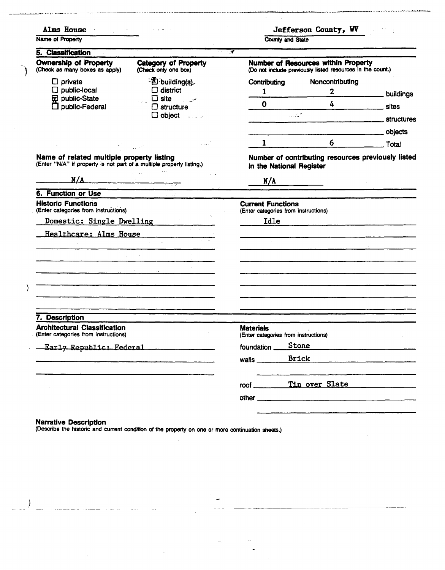| Alms House<br>Name of Property                                                                                     |                                                                                                                                                                | <b>County and State</b>                                                                                  |                                   | Jefferson County, WV |  |
|--------------------------------------------------------------------------------------------------------------------|----------------------------------------------------------------------------------------------------------------------------------------------------------------|----------------------------------------------------------------------------------------------------------|-----------------------------------|----------------------|--|
| 5. Classification                                                                                                  |                                                                                                                                                                | $\overline{\phantom{a}}$                                                                                 |                                   |                      |  |
| Ownership of Property<br><b>Category of Property</b><br>(Check as many boxes as apply)<br>(Check only one box)     |                                                                                                                                                                | <b>Number of Resources within Property</b><br>(Do not include previously listed resources in the count.) |                                   |                      |  |
| $\Box$ private<br>$\square$ public-local<br><b>V</b> public-State<br>$\square$ public-Federal                      | · 图 building(s)<br>$\Box$ district<br>$\Box$ site<br>$\Box$ structure<br>$\Box$ object $\Box$                                                                  | Contributing<br>$\mathbf{1}$<br>$\Omega$<br>a albumi                                                     | Noncontributing<br>4 <sup>1</sup> | 2<br><u>sites s</u>  |  |
|                                                                                                                    |                                                                                                                                                                | $\mathbf{1}$                                                                                             | 6 <sup>1</sup>                    | <b>Total</b>         |  |
| Name of related multiple property listing<br>(Enter "N/A" if property is not part of a multiple property listing.) |                                                                                                                                                                | Number of contributing resources previously listed<br>in the National Register                           |                                   |                      |  |
| N/A                                                                                                                |                                                                                                                                                                | N/A                                                                                                      |                                   |                      |  |
| 6. Function or Use                                                                                                 | <u> 1989 - Jan James James Barnett, amerikan bisa dalam personal dan bisa dalam bisa dalam bisa dalam bisa dalam </u><br><u> 1990 - Alexandria A</u> lexandria |                                                                                                          |                                   |                      |  |
| <b>Historic Functions</b><br>(Enter categories from instructions)                                                  |                                                                                                                                                                | <b>Current Functions</b><br>(Enter categories from instructions)                                         |                                   |                      |  |
| Domestic: Single Dwelling                                                                                          |                                                                                                                                                                |                                                                                                          |                                   |                      |  |
| Healthcare: Alms House                                                                                             |                                                                                                                                                                |                                                                                                          |                                   |                      |  |
|                                                                                                                    |                                                                                                                                                                |                                                                                                          |                                   |                      |  |
|                                                                                                                    |                                                                                                                                                                |                                                                                                          |                                   |                      |  |
|                                                                                                                    | <u> Karl III (m. 1958)</u><br>1900 - Antonio II (m. 1959)                                                                                                      |                                                                                                          |                                   |                      |  |
|                                                                                                                    |                                                                                                                                                                |                                                                                                          |                                   |                      |  |
|                                                                                                                    |                                                                                                                                                                |                                                                                                          |                                   |                      |  |
|                                                                                                                    |                                                                                                                                                                |                                                                                                          |                                   |                      |  |
|                                                                                                                    |                                                                                                                                                                |                                                                                                          |                                   |                      |  |
|                                                                                                                    |                                                                                                                                                                |                                                                                                          |                                   |                      |  |
| 7. Description<br><b>Architectural Classification</b><br>(Enter categories from instructions)                      |                                                                                                                                                                | <b>Materials</b><br>(Enter categories from instructions)                                                 |                                   |                      |  |
| Early Republic: Federal                                                                                            |                                                                                                                                                                | foundation _                                                                                             | Stone                             |                      |  |
|                                                                                                                    |                                                                                                                                                                | walls $\frac{1}{2}$                                                                                      | Brick                             |                      |  |
|                                                                                                                    |                                                                                                                                                                |                                                                                                          | Tin over Slate                    |                      |  |
|                                                                                                                    |                                                                                                                                                                | $root \_$                                                                                                |                                   |                      |  |

.<br>جانب دیگر محمد بن جانب محمد محمد

.<br>المتمسم المتحدث المالي المالي المالي المالي المالي المالي المستور المتحدة المتحدة المالية المتحدة المتحدة الم

ر<br>مولد والرون

 $\sim$ 

 $\sim$ 

 $\langle \omega_1 \rangle = 1$ 

 $\hat{\boldsymbol{\theta}}$ 

Narrative Description<br>(Describe the historic and current condition of the property on one or more continuation sheets.)

i,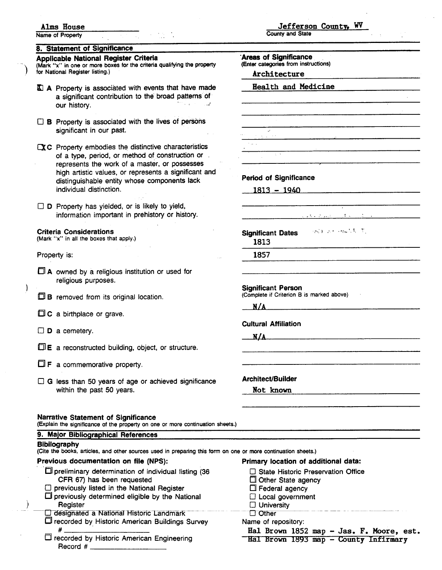#### **Alms House**

**Name of Property** 

#### **8. Statement of Significance**

**(Mark "x" in one or more boxes for the criteria qualifying the property tor National Register listing.)** *Architecture* 

- Property is associated with events that have made **Health and Medicine**  a significant contribution to the broad patterns of our history.
- $\Box$  B Property is associated with the lives of persons significant in our past.

 $\Box$ C Property embodies the distinctive characteristics of a type, period, or method of construction or represents the work of a master, or possesses high artistic values, or represents a significant and distinguishable entity whose components lack **Period of Significance**<br> **ndividual distinction.** 1813 - 1940

 $\square$  D Property has yielded, or is likely to yield, information important in prehistory or history. ... : - ., , .

#### **Criteria Considerations**

**(Mark "x" in all the boxes that apply.)** 

Property is:

- **A** owned by a religious institution or used for religious purposes.
- **B** removed from its original location.
- $\Box$  C a birthplace or grave.
- $\square$  **D** a cemetery.
- $\Box E$  a reconstructed building, object, or structure.
- $\Box$  **F** a commemorative property.
- □ G less than 50 years of age or achieved significance **Architect/Builder** within the past 50 years. **Not known Not known**

#### **Narrative Statement of Significance**

**(Explain the significance of the property on one or more continuation sheets.)** 

| 9. Major Bibliographical References                                                                                                                                                                                |                                                                                                                                            |  |  |
|--------------------------------------------------------------------------------------------------------------------------------------------------------------------------------------------------------------------|--------------------------------------------------------------------------------------------------------------------------------------------|--|--|
| <b>Bibilography</b><br>(Cite the books, articles, and other sources used in preparing this form on one or more continuation sheets.)                                                                               |                                                                                                                                            |  |  |
| Previous documentation on file (NPS):                                                                                                                                                                              | Primary location of additional data:                                                                                                       |  |  |
| $\Box$ preliminary determination of individual listing (36<br>CFR 67) has been requested<br>$\Box$ previously listed in the National Register<br>$\Box$ previously determined eligible by the National<br>Register | $\Box$ State Historic Preservation Office<br>$\Box$ Other State agency<br>$\Box$ Federal agency<br>□ Local government<br>$\Box$ University |  |  |
| □ designated a National Historic Landmark<br>□ recorded by Historic American Buildings Survey<br>#<br>recorded by Historic American Engineering<br>Record #                                                        | $\square$ Other<br>Name of repository:<br>Hal Brown 1852 map - Jas. F. Moore, est.<br>Hal Brown 1893 map - County Infirmary                |  |  |

**Jefferson County, WV** 

**County and State** 

**Applicable National Register Criteria**<br>(Mark "x" in one or more boxes for the criteria qualifying the property (Enter categories from instructions)  $\mathcal{L}$  $\{p_{\alpha}\}_{\alpha\in\mathbb{N}}$  ,  $\{p_{\alpha}\}_{\alpha\in\mathbb{N}}$  ,  $\{p_{\alpha}\}_{\alpha\in\mathbb{N}}$  ,  $\{p_{\alpha}\}_{\alpha\in\mathbb{N}}$ **Significant Dates** 1813 1857 **Significant Person (Complete if Criterion 6 is marked above)**   $N/A$ **Cultural Affiliation N/A**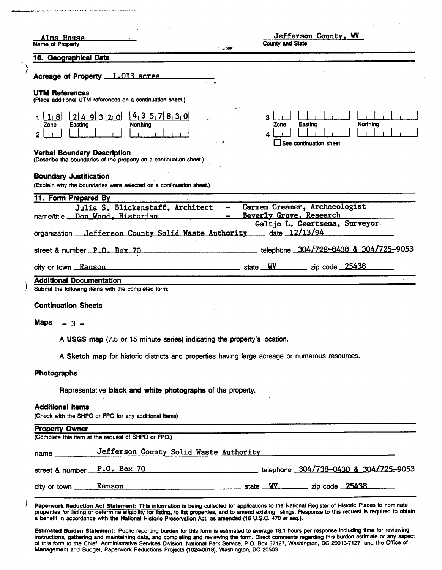| Alms House                                                                                               | Jefferson County, WV<br><b>County and State</b>              |
|----------------------------------------------------------------------------------------------------------|--------------------------------------------------------------|
| Name of Property<br>- 30<br>10. Geographical Data                                                        |                                                              |
| Acreage of Property 1.013 acres                                                                          |                                                              |
| ₫<br><b>UTM References</b><br>(Place additional UTM references on a continuation sheet.)                 |                                                              |
| 4, 3 5, 7 8, 3, 0 <br>2 4 9 3 2 0<br>$11$ 8<br>- 37                                                      | з                                                            |
| Northing<br>Zone<br>Easting                                                                              | Northing<br>Easting<br>Zone<br>$\Box$ See continuation sheet |
| <b>Verbal Boundary Description</b><br>(Describe the boundaries of the property on a continuation sheet.) |                                                              |
| <b>Boundary Justification</b><br>(Explain why the boundaries were selected on a continuation sheet.)     |                                                              |
| 11. Form Prepared By<br>Julia S. Blickenstaff, Architect                                                 | Carmen Creamer, Archaeologist                                |
| name/title __ Don_Wood, Historian                                                                        | Beverly Grove, Research<br>Galtjo L. Geertsema, Surveyor     |
| organization __ Jefferson County Solid Waste Authority                                                   | date 12/13/94                                                |
| street & number P.O. Box 70                                                                              | telephone 304/728-0430 & 304/725-9053                        |
| city or town Ranson example and the state WV and the Code 25438                                          |                                                              |
| <b>Additional Documentation</b><br>Submit the following items with the completed form:                   |                                                              |
| <b>Continuation Sheets</b>                                                                               |                                                              |
|                                                                                                          |                                                              |
| <b>Maps</b><br>$-3 -$                                                                                    |                                                              |
| A USGS map (7.5 or 15 minute series) indicating the property's location.                                 |                                                              |
| A Sketch map for historic districts and properties having large acreage or numerous resources.           |                                                              |
| Photographs                                                                                              |                                                              |
| Representative black and white photographs of the property.                                              |                                                              |
| <b>Additional items</b><br>(Check with the SHPO or FPO for any additional items)                         |                                                              |
| <b>Property Owner</b><br>(Complete this item at the request of SHPO or FPO.)                             |                                                              |
| Jefferson County Solid Waste Authority                                                                   |                                                              |
| street & number <u>P.O. Box 70</u> extending the telephone 304/738-0430 & 304/725-9053                   |                                                              |
| city or town Ranson Ranson Ranson State WV zip code 25438                                                |                                                              |
|                                                                                                          |                                                              |

 $\overline{\phantom{a}}$ 

Paperwork Reduction Act Statement: This information is being collected for applications to the National Register of Historic Places to nominate<br>properties for listing or determine eligibility for listing, to list propertie a benefit in accordance with the National Historic Preservation Act, as amended (16 U.S.C. **470** et **seq.).** 

Estimated Burden Statement: Public reporting burden for this form is estimated to average 18.1 hours per response including time for reviewing instructions, gathering and maintaining data. and completing and reviewing the form. Direct comments regarding this burden estimate or any **aspect**  Of this form to the Chief, Administrative Services Division, National Park Service, P.O. Box **37127,** Washington, **DC 20013-7127;** and the Office of Management and Budget, Paperwork Reductions Projects **(1024-0018),** Washington, DC 20503.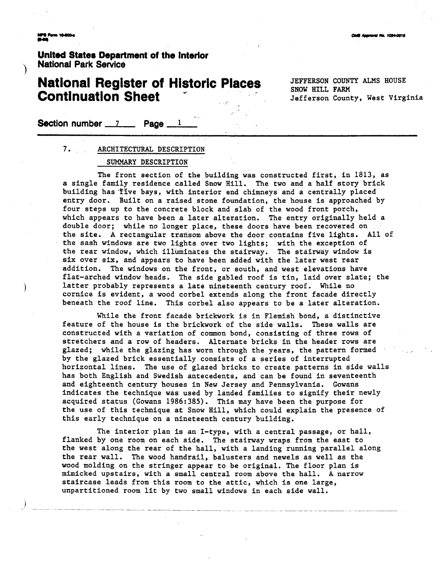**Unlted State8 Department of tho Interfor National Park Service** 

# **National Register of Historic Places** JEFFERSON COUNTY ALMS HOUSE +' SnOW HILL FARM **Continuation Sheet** Jefferson County, West Virginia **National Register of Histo<br>Continuation Sheet**<br>Section number 17 **Page** 11

#### **7.** ARCHITECTURAL DESCRIPTION

#### SUMMARY DESCRIPTION

The front section of the building was constructed first, in 1813, as a single family residence called Snow Hill. The two and a half story brick building has five bays, with interior end chimneys and a centrally placed entry door. Built on a raised stone foundation, the house is approached by four steps up to the concrete block and slab of the wood front porch, which appears to have been a later alteration. The entry originally held a double door; while no longer place, these doors have been recovered on the site. A rectangular transom above the door contains five lights. All of the sash windows are two lights over two lights; with the exception of the rear window, which illuminates the stairway. The stairway window is six over six, and appears to have been added with the later west rear addition. The windows on the front, or south, and west elevations have flat-arched window heads. The side gabled roof is tin, laid over slate; the latter probably represents a late nineteenth century roof. While no cornice is evident, a wood corbel extends along the front facade directly beneath the roof line. This corbel also appears to be a later alteration.

While the front facade brickwork is in Flemish bond, a distinctive feature of the house is the brickwork of the side walls. These walls are constructed with a variation of common bond, consisting of three rows of stretchers and a row of headers. Alternate bricks in the header rows are glazed; while the glazing has worn through the years, the pattern formed by the glazed brick essentially consists of a series of interrupted horizontal lines. The use of glazed bricks to create patterns in side walls has both English and Swedish antecedents, and can be found in seventeenth and eighteenth century houses in New Jersey and Pennsylvania. Gowans indicates the technique was used by landed families to signify their newly acquired status (Gowans 1986:385). This may have been the purpose for the use of this technique at Snow Hill, which could explain the presence of this early technique on a nineteenth century building.

The interior plan is an I-type, with a central passage, or hall, flanked by one room on each side. The stairway wraps from the east to the west along the rear of the hall, with a landing running parallel along the rear wall. The wood handrail, balusters and newels as well as the wood molding on the stringer appear to be original. The floor plan is mimicked upstairs, with a small central room above the hall. A narrow staircase leads from this room to the attic, which is one large, unpartitioned room lit by two small windows in each side wall.

CAME Announced No. 1004-0018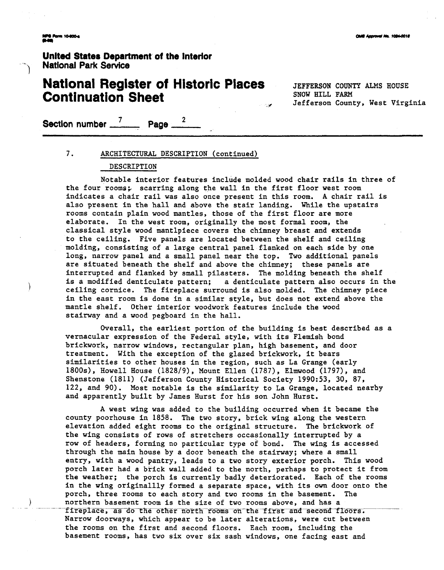lam 10-800-4

United States Department of the interlor - **National Park Service** 

## **National Register of Historic Places** JEFFERSON COUNTY ALMS HOUSE **Continuation Sheet**

*8* Jefferson County, West Virginia

**Section number** 7 **Page <sup>2</sup>**

#### 7. ARCHITECTURAL DESCRIPTION (continued)

#### DESCRIPTION

Notable interior features include molded wood chair rails in three of the four rooms; scarring along the wall in the first floor west room indicates a chair rail was also once present in this room. A chair rail is also present in the hall and above the stair landing. While the upstairs rooms contain plain wood mantles, those of the first floor are more elaborate. In the west room, originally the most formal room, the classical style wood mantlpiece covers the chimney breast and extends to the ceiling. Five panels are located between the shelf and ceiling molding, consisting of a large central panel flanked on each side by one long, narrow panel and a small panel near the top. Two additional panels are situated beneath the shelf and above the chimney; these panels are interrupted and flanked by small pilasters. The molding beneath the shelf is a modified denticulate pattern; a denticulate pattern also occurs in the ceiling cornice. The fireplace surround is also molded. The chimney piece in the east room is done in a similar style, but does not extend above the mantle shelf. Other interior woodwork features include the wood stairway and a wood pegboard in the hall.

Overall, the earliest portion of the building is best described as a vernacular expression of the Federal style, with its Flemish bond brickwork, narrow windows, rectangular plan, high basement, and door treatment. With the exception of the glazed brickwork, it bears similarities to other houses in the region, such as La Grange (early 1800s), Howell House (1828/9), Mount Ellen (1787), Elmwood (1797), and Shenstone (1811) (Jefferson County Historical Society 1990:53, 30, 87, 122, and 90). Most notable is the similarity to La Grange, located nearby and apparently built by James Hurst for his son John Hurst.

A west wing was added to the building occurred when it became the county poorhouse in 1858. The two story, brick wing along the western elevation added eight rooms to the original structure. The brickwork of the wing consists of rows of stretchers occasionally interrupted by a row of headers, forming no particular type of bond. The wing is accessed through the main house by a door beneath the stairway; where a small entry, with a wood pantry, leads to a two story exterior porch. This wood porch later had a brick wall added to the north, perhaps to protect it from the weather; the porch is currently badly deteriorated. Each of the rooms in the wing originallly formed a separate space, with its own door onto the porch, three rooms to each story and two rooms in the basement. The northern basement room is the size of two rooms above, and has a - - fireplace, as do the other north rooms on the first and second floors. Narrow doorways, which appear to be later alterations, were cut between the rooms on the first and second floors. Each room, including the basement rooms, has two six over six sash windows, one facing east and

**DMB Approvel No. 1024-0018**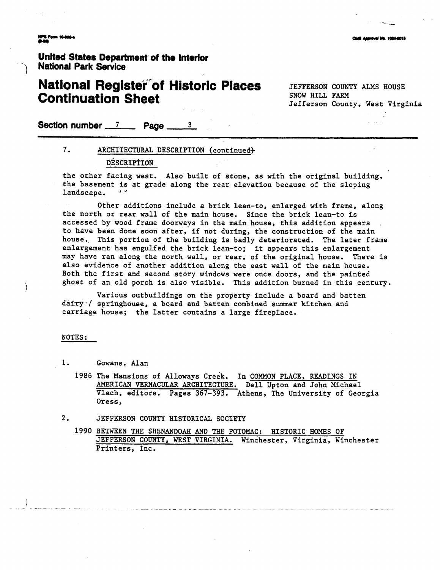**Unlted States Department of the Interfor National Park Service** 

## **National Register of Historic Places** JEFFERSON COUNTY ALMS HOUSE **Continuation Sheet**

Jefferson County, West Virginia

**Section number 7 Page 3** 

#### 7. ARCHITECTURAL DESCRIPTION (continued)

#### DESCRIPTION

the other facing west. Also built of stone, as with the original building, the basement is at grade along the rear elevation because of the sloping the other facing<br>the basement is a<br>landscape.

Other additions include a brick lean-to, enlarged with frame, along the north or rear wall of the main house. Since the brick lean-to is accessed by wood frame doorways in the main house, this addition appears to have been done soon after, if not during, the construction of the main house. This portion of the building is badly deteriorated. The later frame enlargement has engulfed the brick lean-to; it appears this enlargement may have ran along the north wall, or rear, of the original house. There is also evidence of another addition along the east wall of the main house. Both the first and second story windows were once doors, and the painted ghost of an old porch is also visible. This addition burned in this century.

Various outbuildings on the property include a board and batten dafry-/ springhouse, a board and batten combined summer kitchen and carriage house; the latter contains a large fireplace.

#### NOTES :

**1.** Gowans, Alan

- **1986** The Mansions of Alloways creek. In COMMON PLACE, READINGS IN AMERICAN VERNACULAR ARCHITECTURE. Dell Upton and John Michael Vlach, editors. Pages **367-393.** Athens, The University of Georgia Oress,
- 2. JEFFERSON COUNTY HISTORICAL SOCIETY
	- **1990** BETWEEN THE SHENANDOAH AND THE POTOMAC: HISTORIC HOMES OF JEFFERSON COUNTY, WEST VIRGINIA. Winchester, Virginia, Winchester Printers, Inc.

.<br>In the company of the company of the company of the company of the company of the company of the company of th

**IS Assrovel No. 1024-0018**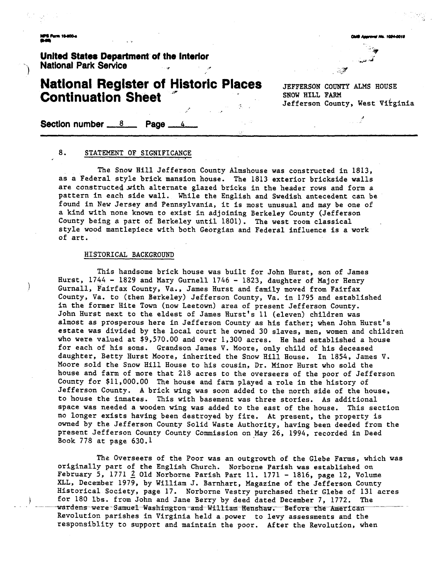**United States Department of the Interlor National Park Service** 

# **National Register of Historic Places** JEFFERSON COUNTY ALMS HOUSE **Continuation Sheet**<br> **Section number 8 Page 4**

Jefferson County, West Virginia

aroval No. 1024-0011

#### 8. STATEMENT OF SIGNIFICANCE

The Snow Hill Jefferson County Almshouse was constructed in 1813, as a Federal style brick mansion house. The 1813 exterior brickside walls are constructed with alternate glazed bricks in the header rows and form a pattern in each side wall. While the English and Swedish antecedent can be found in New Jersey and Pennsylvania, it is most unusual and may be one of a kind with none known to exist in adjoining Berkeley County (Jefferson County being a part of Berkeley until 1801). The west room classical style wood mantlepiece with both Georgian and Federal influence is a work of art.

#### HISTORICAL BACKGROUND

This handsome brick house was built for John Hurst, son of James Hurst, 1744 - 1829 and Mary Gurnell 1746 - 1823, daughter of Major Henry<br>Gurnall, Fairf ax County, Va., James Hurst and family moved from Fairf ax County, Va. to (then Berkeley) Jefferson County, Va. in 1795 and established in the former Hite Town (now Leetown) area of present Jefferson County. John Hurst next to the eldest of James Hurst's 11 (eleven) children was almost as prosperous here in Jefferson County as his father; when John Hurst's estate was divided by the local court he owned 30 slaves, men, women and children who were valued at \$9,570.00 and over 1,300 acres. He had established a house for each of his sons. Grandson James V. Moore, only child of his deceased daughter, Betty Hurst Moore, inherited the Snow Hill House. In 1854, James V. Moore sold the Snow Hill House to his cousin, Dr. Minor Hurst who sold the house and farm of more that 218 acres to the overseers of the poor of Jefferson County for \$11,000.00 The house and farm played a role in the history of Jefferson County. A brick wing was soon added to the north side of the house, to house the inmates. This with basement was three stories. As additional space was needed a wooden wing was added to the east of the house. This section no longer exists having been destroyed by fire. At present, the property is owned by the Jefferson County Solid Waste Authority, having been deeded from the present Jefferson County County Commission on May 26, 1994, recorded in Deed Book 778 at page 630.1

The Gverseers of the Poor was an outgrowth of the Glebe Farms, which was originally part of the English Church. Norborne Parish was established on February 5, 1771 2 Old Norborne Parish Part 11. 1771 - 1816, page 12, Volume XLL, December 1979, by William J. Barnhart, Magazine of the Jefferson County Historical Society, page 17. Norborne Vestry purchased their Glebe of 131 acres for 180 1bs. from John and Jane Berry by deed dated December 7, 1772. The wardens were Samuel Washington and William Henshaw. Before the American Revolution parishes in Virginia held a power to levy assessments and the responsiblity to support and maintain the poor. After the Revolution, when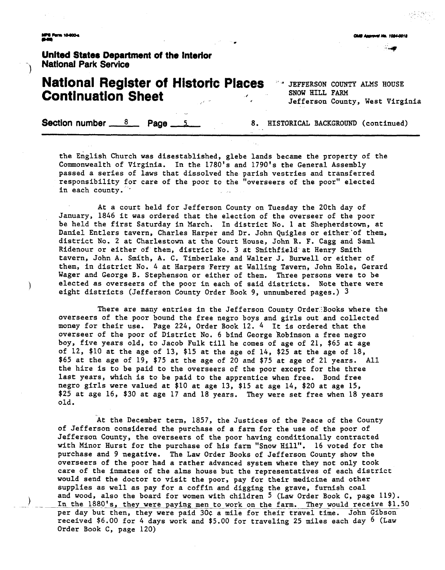**Unlted States Department of the Interior** - **National Park Service** )

## **National Register of Historic Places** *a* **JEFFERSON COUNTY ALMS HOUSE Continuation Sheet** *Internal SNOW HILL FARM Iefferson County, West Virginia*

**Section number 8 Page 5 8. HISTORICAL BACKGROUND** (continued)

the English Church was disestablished, glebe lands became the property of the Commonwealth of Virginia. In the 1780's and 1790's the General Assembly passed a series of laws that dissolved the parish vestries and transferred responsibility for care of the poor to the "overseers of the poor'' elected in each county.

At a court held for Jefferson County on Tuesday the 20th day of January, 1846 it was ordered that the election of the overseer of the poor be held the first Saturday in March. In district No. 1 at Shepherdstown, at Daniel Entlers tavern, Charles Harper and Dr. John Quigles or either'of them, district No. 2 at Charlestown at the Court House, John R. F. Cagg and Saml Ridenour or either of them, district No. 3 at Smithfield at Henry Smith tavern, John A. Smith, A. C. Timberlake and Walter J. Burwell or either of them, in district No. 4 at Harpers Ferry at Walling Tavern, John Hole, Gerard Wager and George B. Stephenson or either of them. Three persons were to be elected as overseers of the poor in each of said districts. Note there were eight districts (Jefferson County Order Book 9, unnumbered pages.) 3

There are many entries in the Jefferson County Order'Books where the overseers of the poor bound the free negro boys and girls out and collected money for their use. Page 224, Order Book 12. 4 It is ordered that the overseer of the poor of District No. 6 bind George Robinson a free negro boy, five years old, to Jacob Fulk till he comes of age of 21, \$65 at age of 12, \$10 at the age of 13, \$15 at the age of 14, \$25 at the age of 18, \$65 at the age of 19, \$75 at the age of 20 and \$75 at age of 21 years. All the hire is to be paid to the overseers of the poor except for the three last years, which is to be paid to the apprentice when free. Bond free negro girls were valued at \$10 at age 13, \$15 at age 14, \$20 at age 15, \$25 at age 16, \$30 at age 17 and 18 years. They were set free when 18 years old.

At the December term, 1857, the Justices of the Peace of the County of Jefferson considered the purchase of a farm for the use of the poor of Jefferson County, the overseers of the poor having conditionally contracted with Minor Hurst for the purchase of his farm "Snow Hill". 16 voted for the purchase and 9 negative. The Law Order Books of Jefferson County show the overseers of the poor had a rather advanced system where they not only took care of the inmates of the alms house but the representatives of each district would send the doctor to visit the poor, pay for their medicine and other supplies as well as pay for a coffin and digging the grave, furnish coal and wood, also the board for women with children 5 (Law Order Book C, page 119). In the 1880's, they were paying men to work on the farm. They would receive \$1.50 per day but then, they were paid 30¢ a mile for their travel time. John Gibson received \$6.00 for 4 days work and \$5.00 for traveling 25 miles each day 6 (Law Order Book C, page 120)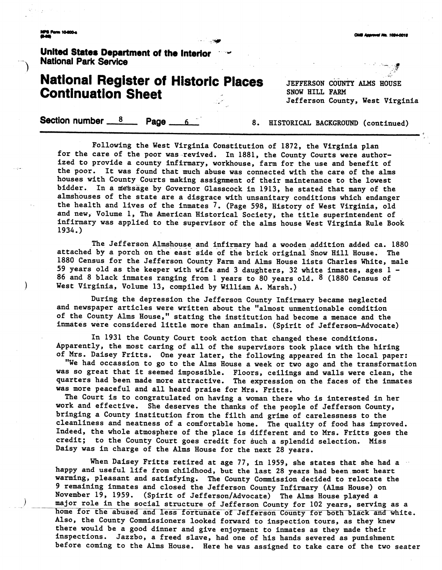.<br>Didi Anaroval Na. 1024-0018

### United States Department of the Interior **National Park Service**

## **National Register of Historic Places Continuation Sheet**

JEFFERSON COUNTY ALMS HOUSE SNOW HILL FARM Jefferson County, West Virginia

Section number \_\_ 8 Page.

8. HISTORICAL BACKGROUND (continued)

Following the West Virginia Constitution of 1872, the Virginia plan for the care of the poor was revived. In 1881, the County Courts were authorized to provide a county infirmary, workhouse, farm for the use and benefit of the poor. It was found that much abuse was connected with the care of the alms houses with County Courts making assignment of their maintenance to the lowest bidder. In a message by Governor Glasscock in 1913, he stated that many of the almshouses of the state are a disgrace with unsanitary conditions which endanger the health and lives of the inmates 7. (Page 598, History of West Virginia, old and new, Volume 1, The American Historical Society, the title superintendent of infirmary was applied to the supervisor of the alms house West Virginia Rule Book  $1934.$ 

The Jefferson Almshouse and infirmary had a wooden addition added ca. 1880 attached by a porch on the east side of the brick original Snow Hill House. The 1880 Census for the Jefferson County Farm and Alms House lists Charles White, male 59 years old as the keeper with wife and 3 daughters, 32 white inmates, ages 1 -86 and 8 black inmates ranging from 1 years to 80 years old. 8 (1880 Census of West Virginia, Volume 13, compiled by William A. Marsh.)

During the depression the Jefferson County Infirmary became neglected and newspaper articles were written about the "almost unmentionable condition of the County Alms House," stating the institution had become a menace and the inmates were considered little more than animals. (Spirit of Jefferson-Advocate)

In 1931 the County Court took action that changed these conditions. Apparently, the most caring of all of the supervisors took place with the hiring of Mrs. Daisey Fritts. One year later, the following appeared in the local paper:

"We had occassion to go to the Alms House a week or two ago and the transformation was so great that it seemed impossible. Floors, ceilings and walls were clean, the quarters had been made more attractive. The expression on the faces of the inmates was more peaceful and all heard praise for Mrs. Fritts.

The Court is to congratulated on having a woman there who is interested in her work and effective. She deserves the thanks of the people of Jefferson County, bringing a County institution from the filth and grime of carelessness to the cleanliness and neatness of a comfortable home. The quality of food has improved. Indeed, the whole atmosphere of the place is different and to Mrs. Fritts goes the credit; to the County Court goes credit for such a splendid selection. Miss Daisy was in charge of the Alms House for the next 28 years.

When Daisey Fritts retired at age 77, in 1959, she states that she had a happy and useful life from childhood, but the last 28 years had been most heart warming, pleasant and satisfying. The County Commission decided to relocate the 9 remaining inmates and closed the Jefferson County Infirmary (Alms House) on November 19, 1959. (Spirit of Jefferson/Advocate) The Alms House played a major role in the social structure of Jefferson County for 102 years, serving as a home for the abused and less fortunate of Jefferson County for both black and white. Also, the County Commissioners looked forward to inspection tours, as they knew there would be a good dinner and give enjoyment to inmates as they made their inspections. Jazzbo, a freed slave, had one of his hands severed as punishment before coming to the Alms House. Here he was assigned to take care of the two seater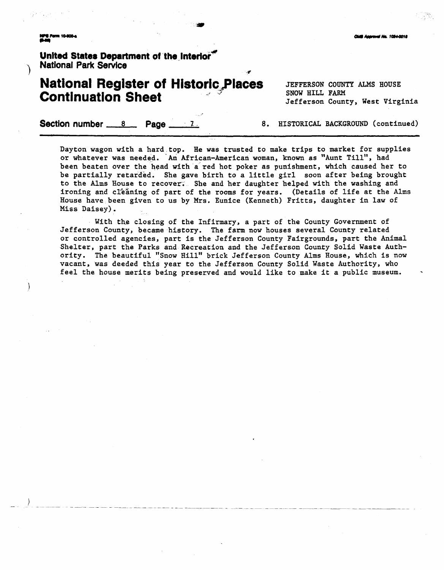\

United States Department of the interior<sup>\*\*</sup> **National Park Service** 

## **National Register of Historic Places** JEFFERSON COUNTY ALMS HOUSE **Continuation Sheet**

Jefferson County, West Virginia

**Section number 8 Page 27 8. HISTORICAL BACKGROUND** (continued)

Dayton wagon with a hard top. He was trusted to make trips to market for supplies or whatever was needed. 'An African-American woman, known as "Aunt Till", had been beaten over the head with a'red hot poker as punishment, which caused her to be partially retarded. She gave birth to a little girl soon after being brought to the Alms House to recover. She and her daughter helped with the washing and ironing and cleaning of part of the rooms for years. (Details of life at the Alms House have been given to us by Mrs. Eunice (Kenneth) Fritts, daughter in law of Miss Daisey) .

 $\mathbf{r}$ 

With the closing of the Infirmary, a part of the County Government of Jefferson County, became history. The farm now houses several County related or controlled agencies, part is the Jefferson County Fairgrounds, part the Animal Shelter, part the Parks and Recreation and the Jefferson County Solid Waste Authority. The beautiful "Snow Hill" brick Jefferson County Alms House, which is now vacant, was deeded this year to the Jefferson County Solid Waste Authority, who feel the house merits being preserved and would like to make it a public museum.

#### **Club Annount No. 1094-0011**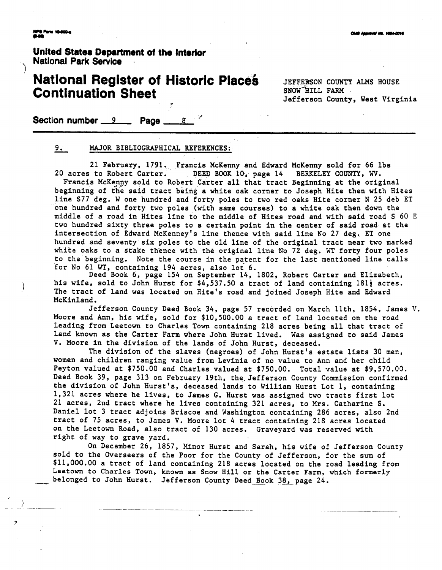**United States Department of the Interlor** \ **National Park Service** .

## **National Register of Historic Places** JEFFERSON COUNTY ALMS HOUSE **Continuation Sheet**

Jefferson County, West Virginia

**Section number 9 , Page 8 8** 

#### 9. MAJOR BIBLIOGRAPHICAL REFERENCES:

21 February, 1791. Francis McKenny and Edward McKenny sold for 66 lbs 20 acres to Robert Carter. DEED BOOK 10, page 14 BERKELEY COUNTY, **W.** 

Francis McKepy sold to Robert Carter all that tract Beginning at the original beginning of the said tract being a white oak corner to Joseph Hite then with Hiees line S77 deg. W one hundred and forty poles to two red oaks Hite corner **N** 25 deb ET one hundred and forty two poles (with same courses) to a white oak then down the middle of a road in Hites line to the middle of Hites road and with said road S 60 **E**  two hundred sixty three poles to a certain point in the center of said road at the intersection of Edward McKenney's line thence with said line No 27 deg. ET one hundred and seventy six poles to the old line of the original tract near two marked white oaks to a stake thence with the origfnal lime No 72 deg. **WT** forty four poles to the beginning. Note the course in the patent for the last mentioned line calls for No 61 **WT,** containing 194 acres, also lot 6.

Deed Book 6, page 154 on September 14, 1802, Robert Carter and Elizabeth, his wife, sold to John Hurst for  $\frac{4}{537.50}$  a tract of land containing 181<sup>1</sup> acres. The tract of land was located on Hite's road and joined Joseph Hite and Edward McKinland.

Jefferson County Deed Book 34, page 57 recorded on March llth, 1854, James **V.**  Moore and Ann, his wife, sold for \$10,500.00 a tract of land located on the road leading from Leetown to Charles Town containing 218 acres being all that tract of land known as the Carter Farm where John Hurst lived. Was assigned to said James **V.** Moore in the division of the lands of John Hurst, deceased.

The division of the slaves (negroes) of John Hurst's estate lists 30 men, women and children ranging value from Levinia of no value to Ann and her child Peyton valued at \$750.00 and Charles valued at \$750.00. Total value at \$9,570.00. Deed Book 39, page 313 on February 19th, the. Jefferson County Commission confirmed the division of John Hurst's, deceased lands to William Hurst Lot 1, containing 1,321 acres where he lives, to James G. Hurst was assigned two tracts first lot 21 acres, 2nd tract where he lives containing 321 acres, to Mrs. Catharine S. Daniel lot 3 tract adjoins Briscoe and Washington containing 286 acres, also 2nd tract of 75 acres, to James V. Moore lot 4 tract containing 218 acres located on the Leetown Road, also tract of 130 acres. Graveyard was reserved with right of way to grave yard.

On December 26, 1857, Minor Hurst and Sarah, his wife of Jefferson County sold to the Overseers of the Poor for the County of Jefferson, for the sum of \$11,000.00 a tract of land containing 218 acres located on the road leading from Leetown to Charles Town, known as Snow Hill or the Carter Farm, which formerly belonged to John Hurst. Jefferson County Deed Book 38, page 24.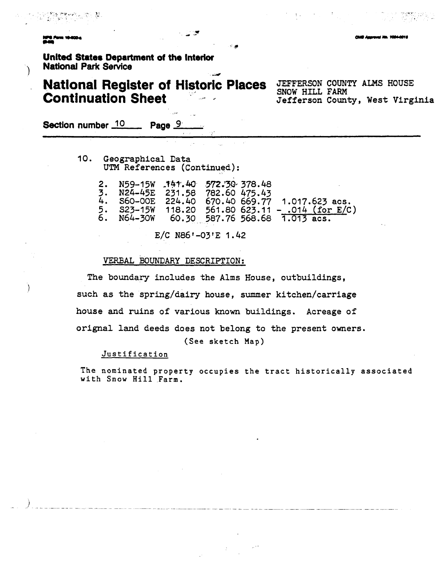**Unlted States Department of the Intacior National Park Service** 

## **National Register of Historic Places** JEFFERSON COUNTY ALMS HOUSE **Continuation Sheet**

ی ک

SNOW **HILL** FARM **Jefferson County, West Virginia** 

**Section number** 10 **Page 9.** 

**10. Geographical Data UTM References (Continued):** 

| 2. N59-15W 141.40 572.30 378.48<br>3. N24-45E 231.58 782.60 475.43<br>$5.$ $S23-15W$ |  | 4. S60-00E 224.40 670.40 669.77 1.017.623 acs.<br>118.20 561.80 623.11 - .014 (for E/C)<br>6. N64-30W 60.30 587.76 568.68 $\overline{1.013}$ acs. |
|--------------------------------------------------------------------------------------|--|---------------------------------------------------------------------------------------------------------------------------------------------------|
|                                                                                      |  |                                                                                                                                                   |

 $E/C$  N86'-03'E 1.42

#### **WRBAL** BOUNDARY DESCRIPTION:

**The boundary includes the Alms House, outbuildings,**  ) **such as the spring/dairy house, summer kitchen/carriage house and ruins of various known buildings. Acreage of orignal land deeds does not belong to the present owners. (See** sketch Map)

#### Justification

The nominated property occupies the tract historically associated with Snow Hill Farm.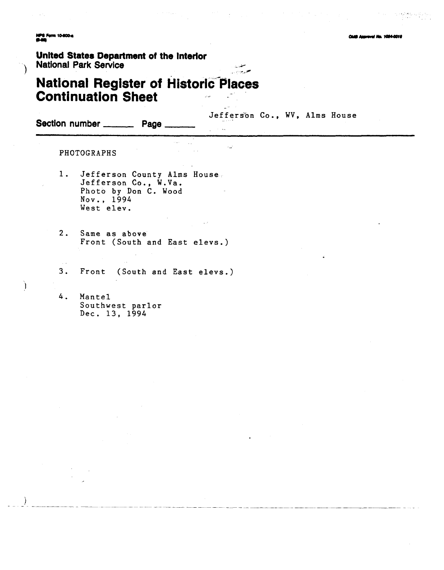**NPS Form 10-800-4**<br>M-MP

**wai Ma. 1084-001** 

ng Alexandria<br>Primeira

### United States Department of the Interior **National Park Service**

## **National Register of Historic Places Continuation Sheet**

 $\hat{L}_{\rm{max}}$ 

Jefferson Co., WV, Alms House

 $\ddot{\phantom{a}}$ 

Section number \_\_\_\_\_\_\_\_\_\_\_ Page

PHOTOGRAPHS

 $\sim$   $\sim$ 

 $\lambda$ 

- Jefferson County Alms House.<br>Jefferson Co., W.Va.  $1.$ Photo by Don C. Wood Nov., 1994 West elev.
- $2.$ Same as above Front (South and East elevs.)
- $3.$ Front (South and East elevs.)
- $4.$ Mantel Southwest parlor Dec. 13, 1994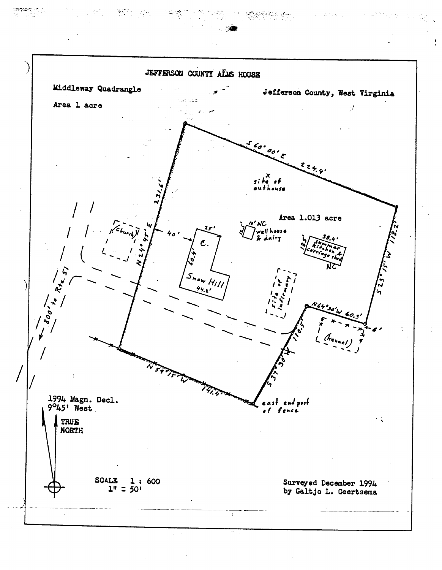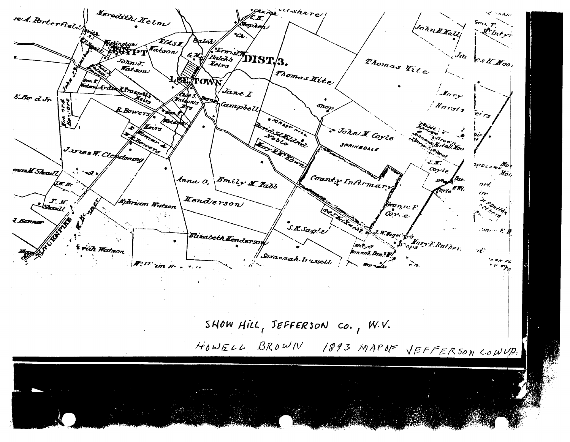